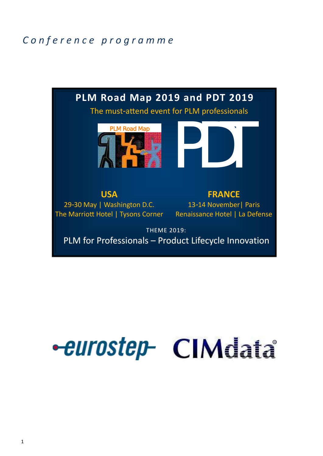### *C o n f e r e n c e p r o g r a m m e*



# **-eurostep- CIMdata**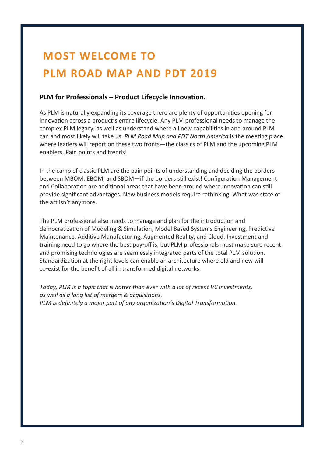## **MOST WELCOME TO PLM ROAD MAP AND PDT 2019**

#### **PLM for Professionals – Product Lifecycle Innovation.**

As PLM is naturally expanding its coverage there are plenty of opportunities opening for innovation across a product's entire lifecycle. Any PLM professional needs to manage the complex PLM legacy, as well as understand where all new capabilities in and around PLM can and most likely will take us. *PLM Road Map and PDT North America* is the meeting place where leaders will report on these two fronts—the classics of PLM and the upcoming PLM enablers. Pain points and trends!

In the camp of classic PLM are the pain points of understanding and deciding the borders between MBOM, EBOM, and SBOM—if the borders still exist! Configuration Management and Collaboration are additional areas that have been around where innovation can still provide significant advantages. New business models require rethinking. What was state of the art isn't anymore.

The PLM professional also needs to manage and plan for the introduction and democratization of Modeling & Simulation, Model Based Systems Engineering, Predictive Maintenance, Additive Manufacturing, Augmented Reality, and Cloud. Investment and training need to go where the best pay-off is, but PLM professionals must make sure recent and promising technologies are seamlessly integrated parts of the total PLM solution. Standardization at the right levels can enable an architecture where old and new will co-exist for the benefit of all in transformed digital networks.

*Today, PLM is a topic that is hotter than ever with a lot of recent VC investments, as well as a long list of mergers & acquisitions. PLM is definitely a major part of any organization's Digital Transformation.*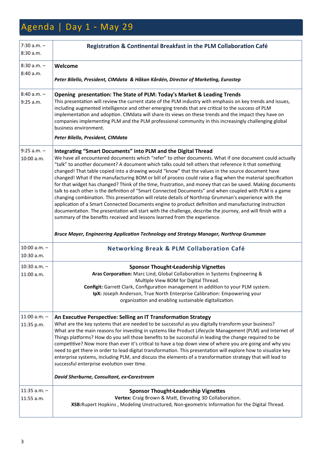## Agenda | Day 1 - May 29

| $7:30$ a.m. $-$<br>8:30 a.m.   | Registration & Continental Breakfast in the PLM Collaboration Café                                                                                                                                                                                                                                                                                                                                                                                                                                                                                                                                                                                                                                                                                                                                                                                                                                                                                                                                                                                                                                                                                                                                                                       |
|--------------------------------|------------------------------------------------------------------------------------------------------------------------------------------------------------------------------------------------------------------------------------------------------------------------------------------------------------------------------------------------------------------------------------------------------------------------------------------------------------------------------------------------------------------------------------------------------------------------------------------------------------------------------------------------------------------------------------------------------------------------------------------------------------------------------------------------------------------------------------------------------------------------------------------------------------------------------------------------------------------------------------------------------------------------------------------------------------------------------------------------------------------------------------------------------------------------------------------------------------------------------------------|
| $8:30$ a.m. $-$                | Welcome                                                                                                                                                                                                                                                                                                                                                                                                                                                                                                                                                                                                                                                                                                                                                                                                                                                                                                                                                                                                                                                                                                                                                                                                                                  |
| 8:40 a.m.                      | Peter Bilello, President, CIMdata & Håkan Kårdén, Director of Marketing, Eurostep                                                                                                                                                                                                                                                                                                                                                                                                                                                                                                                                                                                                                                                                                                                                                                                                                                                                                                                                                                                                                                                                                                                                                        |
| $8:40 a.m. -$<br>9:25 a.m.     | Opening presentation: The State of PLM: Today's Market & Leading Trends<br>This presentation will review the current state of the PLM industry with emphasis on key trends and issues,<br>including augmented intelligence and other emerging trends that are critical to the success of PLM<br>implementation and adoption. CIMdata will share its views on these trends and the impact they have on<br>companies implementing PLM and the PLM professional community in this increasingly challenging global<br>business environment.                                                                                                                                                                                                                                                                                                                                                                                                                                                                                                                                                                                                                                                                                                  |
|                                | Peter Bilello, President, CIMdata                                                                                                                                                                                                                                                                                                                                                                                                                                                                                                                                                                                                                                                                                                                                                                                                                                                                                                                                                                                                                                                                                                                                                                                                        |
| $9:25$ a.m. $-$<br>10:00 a.m.  | Integrating "Smart Documents" into PLM and the Digital Thread<br>We have all encountered documents which "refer" to other documents. What if one document could actually<br>"talk" to another document? A document which talks could tell others that reference it that something<br>changed! That table copied into a drawing would "know" that the values in the source document have<br>changed! What if the manufacturing BOM or bill of process could raise a flag when the material specification<br>for that widget has changed? Think of the time, frustration, and money that can be saved. Making documents<br>talk to each other is the definition of "Smart Connected Documents" and when coupled with PLM is a game<br>changing combination. This presentation will relate details of Northrop Grumman's experience with the<br>application of a Smart Connected Documents engine to product definition and manufacturing instruction<br>documentation. The presentation will start with the challenge, describe the journey, and will finish with a<br>summary of the benefits received and lessons learned from the experience.<br>Bruce Mayer, Engineering Application Technology and Strategy Manager, Northrop Grumman |
| $10:00$ a.m. $-$<br>10:30 a.m. | <b>Networking Break &amp; PLM Collaboration Café</b>                                                                                                                                                                                                                                                                                                                                                                                                                                                                                                                                                                                                                                                                                                                                                                                                                                                                                                                                                                                                                                                                                                                                                                                     |
| $10:30$ a.m. $-$<br>11:00 a.m. | <b>Sponsor Thought-Leadership Vignettes</b><br>Aras Corporation: Marc Lind, Global Collaboration in Systems Engineering &<br>Multiple View BOM for Digital Thread.<br>Configit: Garrett Clark, Configuration management in addition to your PLM system.<br>IpX: Joseph Anderson, True North Enterprise Calibration: Empowering your<br>organization and enabling sustainable digitalization.                                                                                                                                                                                                                                                                                                                                                                                                                                                                                                                                                                                                                                                                                                                                                                                                                                             |
| $11:00$ a.m. $-$<br>11:35 p.m. | An Executive Perspective: Selling an IT Transformation Strategy<br>What are the key systems that are needed to be successful as you digitally transform your business?<br>What are the main reasons for investing in systems like Product Lifecycle Management (PLM) and Internet of<br>Things platforms? How do you sell those benefits to be successful in leading the change required to be<br>competitive? Now more than ever it's critical to have a top down view of where you are going and why you<br>need to get there in order to lead digital transformation. This presentation will explore how to visualize key<br>enterprise systems, including PLM, and discuss the elements of a transformation strategy that will lead to<br>successful enterprise evolution over time.<br>David Sherburne, Consultant, ex-Carestream                                                                                                                                                                                                                                                                                                                                                                                                   |
| $11:35$ a.m. $-$<br>11:55 a.m. | <b>Sponsor Thought-Leadership Vignettes</b><br>Vertex: Craig Brown & Matt, Elevating 3D Collaboration.<br>XSB: Rupert Hopkins, Modeling Unstructured, Non-geometric Information for the Digital Thread.                                                                                                                                                                                                                                                                                                                                                                                                                                                                                                                                                                                                                                                                                                                                                                                                                                                                                                                                                                                                                                  |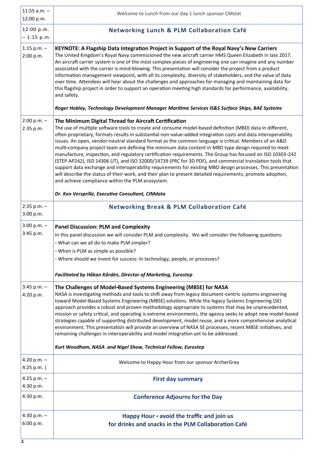| 11:55 $a.m. -$<br>12:00 p.m.    | Welcome to Lunch from our day 1 lunch sponsor CMstat                                                                                                                                                                                                                                                                                                                                                                                                                                                                                                                                                                                                                                                                                                                                                                                                                                                                                                                                                             |  |  |
|---------------------------------|------------------------------------------------------------------------------------------------------------------------------------------------------------------------------------------------------------------------------------------------------------------------------------------------------------------------------------------------------------------------------------------------------------------------------------------------------------------------------------------------------------------------------------------------------------------------------------------------------------------------------------------------------------------------------------------------------------------------------------------------------------------------------------------------------------------------------------------------------------------------------------------------------------------------------------------------------------------------------------------------------------------|--|--|
| 12:00 p.m.<br>$-1:15$ p.m.      | <b>Networking Lunch &amp; PLM Collaboration Café</b>                                                                                                                                                                                                                                                                                                                                                                                                                                                                                                                                                                                                                                                                                                                                                                                                                                                                                                                                                             |  |  |
| 1:15 p.m. $-$<br>2:00 p.m.      | KEYNOTE: A Flagship Data Integration Project in Support of the Royal Navy's New Carriers<br>The United Kingdom's Royal Navy commissioned the new aircraft carrier HMS Queen Elizabeth in late 2017.<br>An aircraft carrier system is one of the most complex pieces of engineering one can imagine and any number<br>associated with the carrier is mind-blowing. This presentation will consider the project from a product<br>information management viewpoint, with all its complexity, diversity of stakeholders, and the value of data<br>over time. Attendees will hear about the challenges and approaches for managing and maintaining data for<br>this flagship project in order to support an operation meeting high standards for performance, availability,<br>and safety.<br>Roger Hobley, Technology Development Manager Maritime Services IS&S Surface Ships, BAE Systems                                                                                                                         |  |  |
| $2:00 p.m. -$<br>2:35 p.m.      | The Minimum Digital Thread for Aircraft Certification<br>The use of multiple software tools to create and consume model-based definition (MBD) data in different,<br>often proprietary, formats results in substantial non-value-added integration costs and data interoperability<br>issues. An open, vendor-neutral standard format as the common language is critical. Members of an A&D<br>multi-company project team are defining the minimum data content in MBD type design required to meet<br>manufacture, inspection, and regulatory certification requirements. The Group has focused on ISO 10303-242<br>(STEP AP242), ISO 14306 (JT), and ISO 32000/14739 (PRC for 3D PDF), and commercial translation tools that<br>support data exchange and interoperability requirements for existing MBD design processes. This presentation<br>will describe the status of their work, and their plan to present detailed requirements, promote adoption,<br>and achieve compliance within the PLM ecosystem. |  |  |
|                                 | Dr. Ken Versprille, Executive Consultant, CIMdata                                                                                                                                                                                                                                                                                                                                                                                                                                                                                                                                                                                                                                                                                                                                                                                                                                                                                                                                                                |  |  |
| $2:35$ p.m. $-$<br>3:00 p.m.    | <b>Networking Break &amp; PLM Collaboration Café</b>                                                                                                                                                                                                                                                                                                                                                                                                                                                                                                                                                                                                                                                                                                                                                                                                                                                                                                                                                             |  |  |
| $3:00 p.m. -$<br>3:45 p.m.      | <b>Panel Discussion: PLM and Complexity</b><br>In this panel discussion we will consider PLM and complexity. We will consider the following questions:<br>- What can we all do to make PLM simpler?<br>- When is PLM as simple as possible?<br>- Where should we invest for success: In technology, people, or processes?<br>Facilitated by Håkan Kårdén, Director of Marketing, Eurostep                                                                                                                                                                                                                                                                                                                                                                                                                                                                                                                                                                                                                        |  |  |
| $3:45$ p.m. $-$<br>4:20 p.m.    | The Challenges of Model-Based Systems Engineering (MBSE) for NASA<br>NASA is investigating methods and tools to shift away from legacy document-centric systems engineering<br>toward Model-Based Systems Engineering (MBSE) solutions. While the legacy Systems Engineering (SE)<br>approach provides a robust and proven methodology appropriate to systems that may be unprecedented,<br>mission or safety critical, and operating is extreme environments, the agency seeks to adopt new model-based<br>strategies capable of supporting distributed development, model reuse, and a more comprehensive analytical<br>environment. This presentation will provide an overview of NASA SE processes, recent MBSE initiatives, and<br>remaining challenges in interoperability and model integration yet to be addressed.<br>Kurt Woodham, NASA and Nigel Shaw, Technical Fellow, Eurostep                                                                                                                     |  |  |
| 4:20 p.m. $-$<br>4:25 p.m.      | Welcome to Happy Hour from our sponsor ArcherGrey                                                                                                                                                                                                                                                                                                                                                                                                                                                                                                                                                                                                                                                                                                                                                                                                                                                                                                                                                                |  |  |
| 4:25 p.m. $-$<br>4:30 p.m.      | <b>First day summary</b>                                                                                                                                                                                                                                                                                                                                                                                                                                                                                                                                                                                                                                                                                                                                                                                                                                                                                                                                                                                         |  |  |
| 4:30 p.m.                       | <b>Conference Adjourns for the Day</b>                                                                                                                                                                                                                                                                                                                                                                                                                                                                                                                                                                                                                                                                                                                                                                                                                                                                                                                                                                           |  |  |
| 4:30 p.m. $-$<br>6:00 p.m.<br>4 | Happy Hour - avoid the traffic and join us<br>for drinks and snacks in the PLM Collaboration Café                                                                                                                                                                                                                                                                                                                                                                                                                                                                                                                                                                                                                                                                                                                                                                                                                                                                                                                |  |  |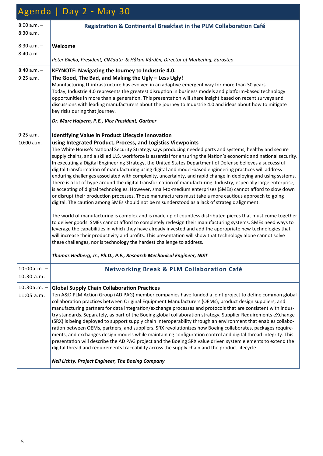| Agenda   Day 2 - May 30        |                                                                                                                                                                                                                                                                                                                                                                                                                                                                                                                                                                                                                                                                                                                                                                                                                                                                                                                                                                                                                                                                                          |  |
|--------------------------------|------------------------------------------------------------------------------------------------------------------------------------------------------------------------------------------------------------------------------------------------------------------------------------------------------------------------------------------------------------------------------------------------------------------------------------------------------------------------------------------------------------------------------------------------------------------------------------------------------------------------------------------------------------------------------------------------------------------------------------------------------------------------------------------------------------------------------------------------------------------------------------------------------------------------------------------------------------------------------------------------------------------------------------------------------------------------------------------|--|
| $8:00 a.m. -$<br>8:30 a.m.     | Registration & Continental Breakfast in the PLM Collaboration Café                                                                                                                                                                                                                                                                                                                                                                                                                                                                                                                                                                                                                                                                                                                                                                                                                                                                                                                                                                                                                       |  |
| $8:30$ a.m. $-$                | Welcome                                                                                                                                                                                                                                                                                                                                                                                                                                                                                                                                                                                                                                                                                                                                                                                                                                                                                                                                                                                                                                                                                  |  |
| 8:40 a.m.                      | Peter Bilello, President, CIMdata & Håkan Kårdén, Director of Marketing, Eurostep                                                                                                                                                                                                                                                                                                                                                                                                                                                                                                                                                                                                                                                                                                                                                                                                                                                                                                                                                                                                        |  |
| $8:40$ a.m. $-$<br>$9:25$ a.m. | KEYNOTE: Navigating the Journey to Industrie 4.0.<br>The Good, The Bad, and Making the Ugly - Less Ugly!<br>Manufacturing IT infrastructure has evolved in an adaptive emergent way for more than 30 years.<br>Today, Industrie 4.0 represents the greatest disruption in business models and platform-based technology<br>opportunities in more than a generation. This presentation will share insight based on recent surveys and<br>discussions with leading manufacturers about the journey to Industrie 4.0 and ideas about how to mitigate<br>key risks during that journey.<br>Dr. Marc Halpern, P.E., Vice President, Gartner                                                                                                                                                                                                                                                                                                                                                                                                                                                   |  |
| $9:25$ a.m. $-$                | <b>Identifying Value in Product Lifecycle Innovation</b>                                                                                                                                                                                                                                                                                                                                                                                                                                                                                                                                                                                                                                                                                                                                                                                                                                                                                                                                                                                                                                 |  |
| 10:00 a.m.                     | using Integrated Product, Process, and Logistics Viewpoints<br>The White House's National Security Strategy says producing needed parts and systems, healthy and secure<br>supply chains, and a skilled U.S. workforce is essential for ensuring the Nation's economic and national security.<br>In executing a Digital Engineering Strategy, the United States Department of Defense believes a successful<br>digital transformation of manufacturing using digital and model-based engineering practices will address<br>enduring challenges associated with complexity, uncertainty, and rapid change in deploying and using systems.<br>There is a lot of hype around the digital transformation of manufacturing. Industry, especially large enterprise,<br>is accepting of digital technologies. However, small-to-medium enterprises (SMEs) cannot afford to slow down<br>or disrupt their production processes. Those manufacturers must take a more cautious approach to going<br>digital. The caution among SMEs should not be misunderstood as a lack of strategic alignment. |  |
|                                | The world of manufacturing is complex and is made up of countless distributed pieces that must come together<br>to deliver goods. SMEs cannot afford to completely redesign their manufacturing systems. SMEs need ways to<br>leverage the capabilities in which they have already invested and add the appropriate new technologies that<br>will increase their productivity and profits. This presentation will show that technology alone cannot solve<br>these challenges, nor is technology the hardest challenge to address.                                                                                                                                                                                                                                                                                                                                                                                                                                                                                                                                                       |  |
|                                | Thomas Hedberg, Jr., Ph.D., P.E., Research Mechanical Engineer, NIST                                                                                                                                                                                                                                                                                                                                                                                                                                                                                                                                                                                                                                                                                                                                                                                                                                                                                                                                                                                                                     |  |
| $10:00a.m. -$<br>$10:30$ a.m.  | <b>Networking Break &amp; PLM Collaboration Café</b>                                                                                                                                                                                                                                                                                                                                                                                                                                                                                                                                                                                                                                                                                                                                                                                                                                                                                                                                                                                                                                     |  |
| $10:30a.m. -$<br>$11:05$ a.m.  | <b>Global Supply Chain Collaboration Practices</b><br>Ten A&D PLM Action Group (AD PAG) member companies have funded a joint project to define common global<br>collaboration practices between Original Equipment Manufacturers (OEMs), product design suppliers, and<br>manufacturing partners for data integration/exchange processes and protocols that are consistent with indus-<br>try standards. Separately, as part of the Boeing global collaboration strategy, Supplier Requirements eXchange<br>(SRX) is being deployed to support supply chain interoperability through an environment that enables collabo-<br>ration between OEMs, partners, and suppliers. SRX revolutionizes how Boeing collaborates, packages require-<br>ments, and exchanges design models while maintaining configuration control and digital thread integrity. This<br>presentation will describe the AD PAG project and the Boeing SRX value driven system elements to extend the<br>digital thread and requirements traceability across the supply chain and the product lifecycle.              |  |
|                                | Neil Lichty, Project Engineer, The Boeing Company                                                                                                                                                                                                                                                                                                                                                                                                                                                                                                                                                                                                                                                                                                                                                                                                                                                                                                                                                                                                                                        |  |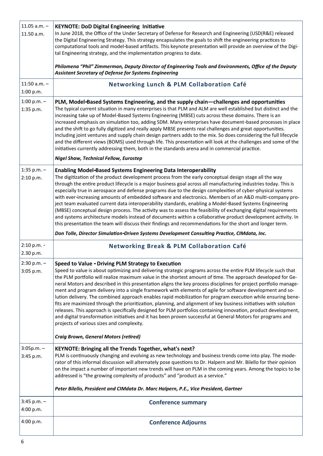| 11.05 $a.m. -$<br>11.50 a.m.  | <b>KEYNOTE: DoD Digital Engineering Initiative</b><br>In June 2018, the Office of the Under Secretary of Defense for Research and Engineering (USD(R&E) released<br>the Digital Engineering Strategy. This strategy encapsulates the goals to shift the engineering practices to<br>computational tools and model-based artifacts. This keynote presentation will provide an overview of the Digi-<br>tal Engineering strategy, and the implementation progress to date.<br>Philomena "Phil" Zimmerman, Deputy Director of Engineering Tools and Environments, Office of the Deputy<br><b>Assistant Secretary of Defense for Systems Engineering</b>                                                                                                                                                                                                                                                                                                                                                                                                                                    |
|-------------------------------|-----------------------------------------------------------------------------------------------------------------------------------------------------------------------------------------------------------------------------------------------------------------------------------------------------------------------------------------------------------------------------------------------------------------------------------------------------------------------------------------------------------------------------------------------------------------------------------------------------------------------------------------------------------------------------------------------------------------------------------------------------------------------------------------------------------------------------------------------------------------------------------------------------------------------------------------------------------------------------------------------------------------------------------------------------------------------------------------|
| $11:50$ a.m. $-$<br>1:00 p.m. | <b>Networking Lunch &amp; PLM Collaboration Café</b>                                                                                                                                                                                                                                                                                                                                                                                                                                                                                                                                                                                                                                                                                                                                                                                                                                                                                                                                                                                                                                    |
| 1:00 p.m. $-$<br>1:35 p.m.    | PLM, Model-Based Systems Engineering, and the supply chain—challenges and opportunities<br>The typical current situation in many enterprises is that PLM and ALM are well established but distinct and the<br>increasing take up of Model-Based Systems Engineering (MBSE) cuts across these domains. There is an<br>increased emphasis on simulation too, adding SDM. Many enterprises have document-based processes in place<br>and the shift to go fully digitized and really apply MBSE presents real challenges and great opportunities.<br>Including joint ventures and supply chain design partners adds to the mix. So does considering the full lifecycle<br>and the different views (BOMS) used through life. This presentation will look at the challenges and some of the<br>initiatives currently addressing them, both in the standards arena and in commercial practice.<br><b>Nigel Shaw, Technical Fellow, Eurostep</b>                                                                                                                                                |
| 1:35 p.m. $-$<br>2:10 p.m.    | <b>Enabling Model-Based Systems Engineering Data Interoperability</b><br>The digitization of the product development process from the early conceptual design stage all the way<br>through the entire product lifecycle is a major business goal across all manufacturing industries today. This is<br>especially true in aerospace and defense programs due to the design complexities of cyber-physical systems<br>with ever-increasing amounts of embedded software and electronics. Members of an A&D multi-company pro-<br>ject team evaluated current data interoperability standards, enabling a Model-Based Systems Engineering<br>(MBSE) conceptual design process. The activity was to assess the feasibility of exchanging digital requirements<br>and systems architecture models instead of documents within a collaborative product development activity. In<br>this presentation the team will discuss their findings and recommendations for the short and longer term.<br>Don Tolle, Director Simulation-Driven Systems Development Consulting Practice, CIMdata, Inc. |
| 2:10 p.m. -                   | <b>Networking Break &amp; PLM Collaboration Café</b>                                                                                                                                                                                                                                                                                                                                                                                                                                                                                                                                                                                                                                                                                                                                                                                                                                                                                                                                                                                                                                    |
| 2.30 p.m.                     |                                                                                                                                                                                                                                                                                                                                                                                                                                                                                                                                                                                                                                                                                                                                                                                                                                                                                                                                                                                                                                                                                         |
| $2:30 p.m. -$<br>3:05 p.m.    | <b>Speed to Value - Driving PLM Strategy to Execution</b><br>Speed to value is about optimizing and delivering strategic programs across the entire PLM lifecycle such that<br>the PLM portfolio will realize maximum value in the shortest amount of time. The approach developed for Ge-<br>neral Motors and described in this presentation aligns the key process disciplines for project portfolio manage-<br>ment and program delivery into a single framework with elements of agile for software development and so-<br>lution delivery. The combined approach enables rapid mobilization for program execution while ensuring bene-<br>fits are maximized through the prioritization, planning, and alignment of key business initiatives with solution<br>releases. This approach is specifically designed for PLM portfolios containing innovation, product development,<br>and digital transformation initiatives and it has been proven successful at General Motors for programs and<br>projects of various sizes and complexity.                                          |
|                               | <b>Craig Brown, General Motors (retired)</b>                                                                                                                                                                                                                                                                                                                                                                                                                                                                                                                                                                                                                                                                                                                                                                                                                                                                                                                                                                                                                                            |
| $3:05p.m. -$<br>3:45 p.m.     | KEYNOTE: Bringing all the Trends Together, what's next?                                                                                                                                                                                                                                                                                                                                                                                                                                                                                                                                                                                                                                                                                                                                                                                                                                                                                                                                                                                                                                 |
|                               | PLM is continuously changing and evolving as new technology and business trends come into play. The mode-<br>rator of this informal discussion will alternately pose questions to Dr. Halpern and Mr. Bilello for their opinion<br>on the impact a number of important new trends will have on PLM in the coming years. Among the topics to be<br>addressed is "the growing complexity of products" and "product as a service."                                                                                                                                                                                                                                                                                                                                                                                                                                                                                                                                                                                                                                                         |
|                               | Peter Bilello, President and CIMdata Dr. Marc Halpern, P.E., Vice President, Gartner                                                                                                                                                                                                                                                                                                                                                                                                                                                                                                                                                                                                                                                                                                                                                                                                                                                                                                                                                                                                    |
| $3:45$ p.m. $-$<br>4:00 p.m.  | <b>Conference summary</b>                                                                                                                                                                                                                                                                                                                                                                                                                                                                                                                                                                                                                                                                                                                                                                                                                                                                                                                                                                                                                                                               |